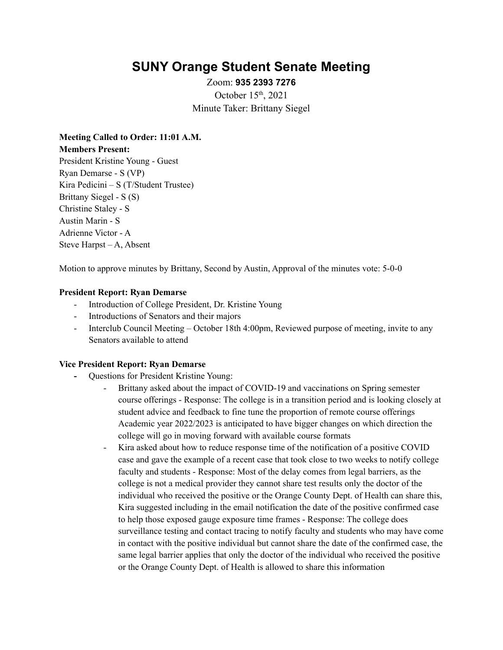# **SUNY Orange Student Senate Meeting**

Zoom: **935 2393 7276** October  $15<sup>th</sup>$ , 2021 Minute Taker: Brittany Siegel

**Meeting Called to Order: 11:01 A.M. Members Present:** President Kristine Young - Guest Ryan Demarse - S (VP) Kira Pedicini – S (T/Student Trustee) Brittany Siegel - S (S) Christine Staley - S Austin Marin - S Adrienne Victor - A Steve Harpst – A, Absent

Motion to approve minutes by Brittany, Second by Austin, Approval of the minutes vote: 5-0-0

#### **President Report: Ryan Demarse**

- Introduction of College President, Dr. Kristine Young
- Introductions of Senators and their majors
- Interclub Council Meeting October 18th 4:00pm, Reviewed purpose of meeting, invite to any Senators available to attend

#### **Vice President Report: Ryan Demarse**

- **-** Questions for President Kristine Young:
	- Brittany asked about the impact of COVID-19 and vaccinations on Spring semester course offerings - Response: The college is in a transition period and is looking closely at student advice and feedback to fine tune the proportion of remote course offerings Academic year 2022/2023 is anticipated to have bigger changes on which direction the college will go in moving forward with available course formats
	- Kira asked about how to reduce response time of the notification of a positive COVID case and gave the example of a recent case that took close to two weeks to notify college faculty and students - Response: Most of the delay comes from legal barriers, as the college is not a medical provider they cannot share test results only the doctor of the individual who received the positive or the Orange County Dept. of Health can share this, Kira suggested including in the email notification the date of the positive confirmed case to help those exposed gauge exposure time frames - Response: The college does surveillance testing and contact tracing to notify faculty and students who may have come in contact with the positive individual but cannot share the date of the confirmed case, the same legal barrier applies that only the doctor of the individual who received the positive or the Orange County Dept. of Health is allowed to share this information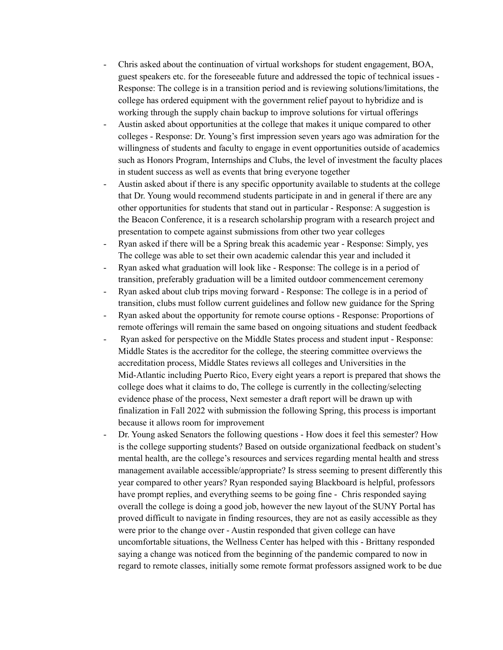- Chris asked about the continuation of virtual workshops for student engagement, BOA, guest speakers etc. for the foreseeable future and addressed the topic of technical issues - Response: The college is in a transition period and is reviewing solutions/limitations, the college has ordered equipment with the government relief payout to hybridize and is working through the supply chain backup to improve solutions for virtual offerings
- Austin asked about opportunities at the college that makes it unique compared to other colleges - Response: Dr. Young's first impression seven years ago was admiration for the willingness of students and faculty to engage in event opportunities outside of academics such as Honors Program, Internships and Clubs, the level of investment the faculty places in student success as well as events that bring everyone together
- Austin asked about if there is any specific opportunity available to students at the college that Dr. Young would recommend students participate in and in general if there are any other opportunities for students that stand out in particular - Response: A suggestion is the Beacon Conference, it is a research scholarship program with a research project and presentation to compete against submissions from other two year colleges
- Ryan asked if there will be a Spring break this academic year Response: Simply, yes The college was able to set their own academic calendar this year and included it
- Ryan asked what graduation will look like Response: The college is in a period of transition, preferably graduation will be a limited outdoor commencement ceremony
- Ryan asked about club trips moving forward Response: The college is in a period of transition, clubs must follow current guidelines and follow new guidance for the Spring
- Ryan asked about the opportunity for remote course options Response: Proportions of remote offerings will remain the same based on ongoing situations and student feedback
- Ryan asked for perspective on the Middle States process and student input Response: Middle States is the accreditor for the college, the steering committee overviews the accreditation process, Middle States reviews all colleges and Universities in the Mid-Atlantic including Puerto Rico, Every eight years a report is prepared that shows the college does what it claims to do, The college is currently in the collecting/selecting evidence phase of the process, Next semester a draft report will be drawn up with finalization in Fall 2022 with submission the following Spring, this process is important because it allows room for improvement
- Dr. Young asked Senators the following questions How does it feel this semester? How is the college supporting students? Based on outside organizational feedback on student's mental health, are the college's resources and services regarding mental health and stress management available accessible/appropriate? Is stress seeming to present differently this year compared to other years? Ryan responded saying Blackboard is helpful, professors have prompt replies, and everything seems to be going fine - Chris responded saying overall the college is doing a good job, however the new layout of the SUNY Portal has proved difficult to navigate in finding resources, they are not as easily accessible as they were prior to the change over - Austin responded that given college can have uncomfortable situations, the Wellness Center has helped with this - Brittany responded saying a change was noticed from the beginning of the pandemic compared to now in regard to remote classes, initially some remote format professors assigned work to be due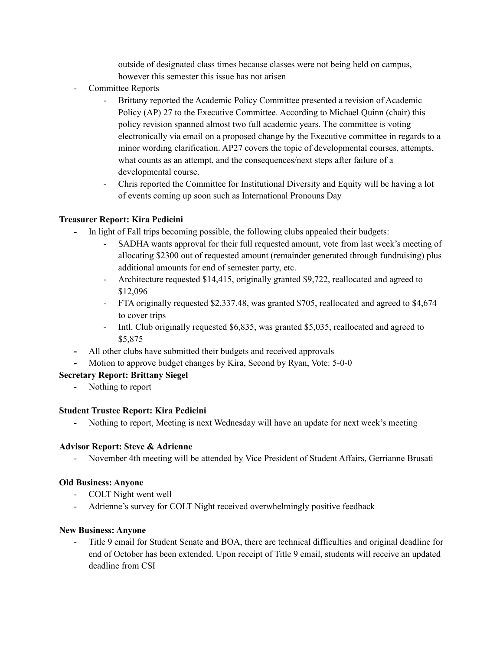outside of designated class times because classes were not being held on campus, however this semester this issue has not arisen

- Committee Reports
	- Brittany reported the Academic Policy Committee presented a revision of Academic Policy (AP) 27 to the Executive Committee. According to Michael Quinn (chair) this policy revision spanned almost two full academic years. The committee is voting electronically via email on a proposed change by the Executive committee in regards to a minor wording clarification. AP27 covers the topic of developmental courses, attempts, what counts as an attempt, and the consequences/next steps after failure of a developmental course.
	- Chris reported the Committee for Institutional Diversity and Equity will be having a lot of events coming up soon such as International Pronouns Day

## **Treasurer Report: Kira Pedicini**

- **-** In light of Fall trips becoming possible, the following clubs appealed their budgets:
	- SADHA wants approval for their full requested amount, vote from last week's meeting of allocating \$2300 out of requested amount (remainder generated through fundraising) plus additional amounts for end of semester party, etc.
	- Architecture requested \$14,415, originally granted \$9,722, reallocated and agreed to \$12,096
	- FTA originally requested \$2,337.48, was granted \$705, reallocated and agreed to \$4,674 to cover trips
	- Intl. Club originally requested \$6,835, was granted \$5,035, reallocated and agreed to \$5,875
- **-** All other clubs have submitted their budgets and received approvals
- **-** Motion to approve budget changes by Kira, Second by Ryan, Vote: 5-0-0

## **Secretary Report: Brittany Siegel**

- Nothing to report

### **Student Trustee Report: Kira Pedicini**

- Nothing to report, Meeting is next Wednesday will have an update for next week's meeting

### **Advisor Report: Steve & Adrienne**

- November 4th meeting will be attended by Vice President of Student Affairs, Gerrianne Brusati

### **Old Business: Anyone**

- COLT Night went well
- Adrienne's survey for COLT Night received overwhelmingly positive feedback

### **New Business: Anyone**

Title 9 email for Student Senate and BOA, there are technical difficulties and original deadline for end of October has been extended. Upon receipt of Title 9 email, students will receive an updated deadline from CSI